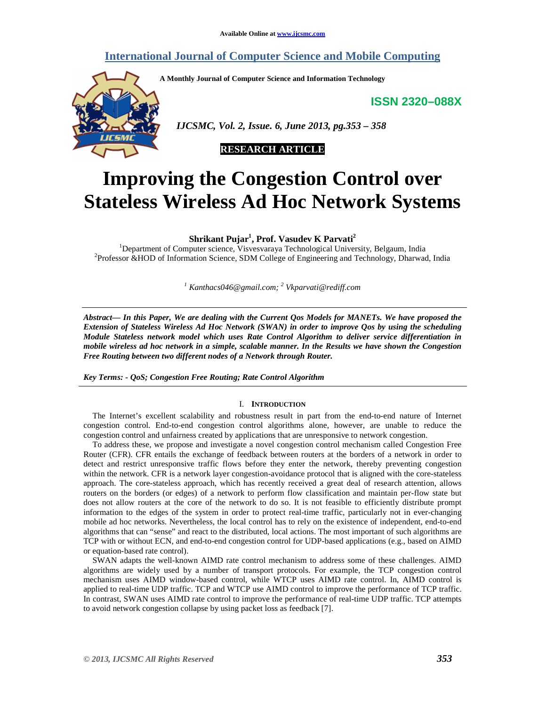## **International Journal of Computer Science and Mobile Computing**

**A Monthly Journal of Computer Science and Information Technology** 

**ISSN 2320–088X**



 *IJCSMC, Vol. 2, Issue. 6, June 2013, pg.353 – 358* 



# **Improving the Congestion Control over Stateless Wireless Ad Hoc Network Systems**

**Shrikant Pujar<sup>1</sup> , Prof. Vasudev K Parvati<sup>2</sup>**

<sup>1</sup>Department of Computer science, Visvesvaraya Technological University, Belgaum, India <sup>2</sup>Professor &HOD of Information Science, SDM College of Engineering and Technology, Dharwad, India

*1 Kanthacs046@gmail.com; <sup>2</sup> Vkparvati@rediff.com* 

*Abstract— In this Paper, We are dealing with the Current Qos Models for MANETs. We have proposed the Extension of Stateless Wireless Ad Hoc Network (SWAN) in order to improve Qos by using the scheduling Module Stateless network model which uses Rate Control Algorithm to deliver service differentiation in mobile wireless ad hoc network in a simple, scalable manner. In the Results we have shown the Congestion Free Routing between two different nodes of a Network through Router.* 

*Key Terms: - QoS; Congestion Free Routing; Rate Control Algorithm* 

#### I. **INTRODUCTION**

The Internet's excellent scalability and robustness result in part from the end-to-end nature of Internet congestion control. End-to-end congestion control algorithms alone, however, are unable to reduce the congestion control and unfairness created by applications that are unresponsive to network congestion.

To address these, we propose and investigate a novel congestion control mechanism called Congestion Free Router (CFR). CFR entails the exchange of feedback between routers at the borders of a network in order to detect and restrict unresponsive traffic flows before they enter the network, thereby preventing congestion within the network. CFR is a network layer congestion-avoidance protocol that is aligned with the core-stateless approach. The core-stateless approach, which has recently received a great deal of research attention, allows routers on the borders (or edges) of a network to perform flow classification and maintain per-flow state but does not allow routers at the core of the network to do so. It is not feasible to efficiently distribute prompt information to the edges of the system in order to protect real-time traffic, particularly not in ever-changing mobile ad hoc networks. Nevertheless, the local control has to rely on the existence of independent, end-to-end algorithms that can "sense" and react to the distributed, local actions. The most important of such algorithms are TCP with or without ECN, and end-to-end congestion control for UDP-based applications (e.g., based on AIMD or equation-based rate control).

SWAN adapts the well-known AIMD rate control mechanism to address some of these challenges. AIMD algorithms are widely used by a number of transport protocols. For example, the TCP congestion control mechanism uses AIMD window-based control, while WTCP uses AIMD rate control. In, AIMD control is applied to real-time UDP traffic. TCP and WTCP use AIMD control to improve the performance of TCP traffic. In contrast, SWAN uses AIMD rate control to improve the performance of real-time UDP traffic. TCP attempts to avoid network congestion collapse by using packet loss as feedback [7].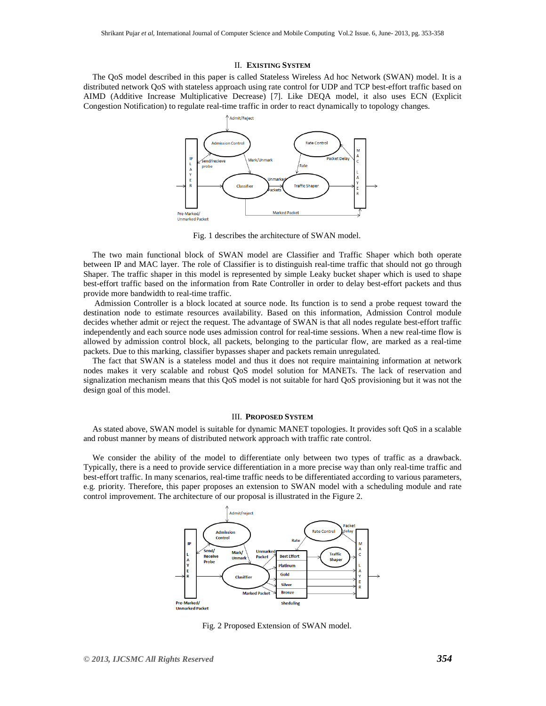#### II. **EXISTING SYSTEM**

The QoS model described in this paper is called Stateless Wireless Ad hoc Network (SWAN) model. It is a distributed network QoS with stateless approach using rate control for UDP and TCP best-effort traffic based on AIMD (Additive Increase Multiplicative Decrease) [7]. Like DEQA model, it also uses ECN (Explicit Congestion Notification) to regulate real-time traffic in order to react dynamically to topology changes.



Fig. 1 describes the architecture of SWAN model.

The two main functional block of SWAN model are Classifier and Traffic Shaper which both operate between IP and MAC layer. The role of Classifier is to distinguish real-time traffic that should not go through Shaper. The traffic shaper in this model is represented by simple Leaky bucket shaper which is used to shape best-effort traffic based on the information from Rate Controller in order to delay best-effort packets and thus provide more bandwidth to real-time traffic.

 Admission Controller is a block located at source node. Its function is to send a probe request toward the destination node to estimate resources availability. Based on this information, Admission Control module decides whether admit or reject the request. The advantage of SWAN is that all nodes regulate best-effort traffic independently and each source node uses admission control for real-time sessions. When a new real-time flow is allowed by admission control block, all packets, belonging to the particular flow, are marked as a real-time packets. Due to this marking, classifier bypasses shaper and packets remain unregulated.

The fact that SWAN is a stateless model and thus it does not require maintaining information at network nodes makes it very scalable and robust QoS model solution for MANETs. The lack of reservation and signalization mechanism means that this QoS model is not suitable for hard QoS provisioning but it was not the design goal of this model.

#### III. **PROPOSED SYSTEM**

As stated above, SWAN model is suitable for dynamic MANET topologies. It provides soft QoS in a scalable and robust manner by means of distributed network approach with traffic rate control.

We consider the ability of the model to differentiate only between two types of traffic as a drawback. Typically, there is a need to provide service differentiation in a more precise way than only real-time traffic and best-effort traffic. In many scenarios, real-time traffic needs to be differentiated according to various parameters, e.g. priority. Therefore, this paper proposes an extension to SWAN model with a scheduling module and rate control improvement. The architecture of our proposal is illustrated in the Figure 2.



Fig. 2 Proposed Extension of SWAN model.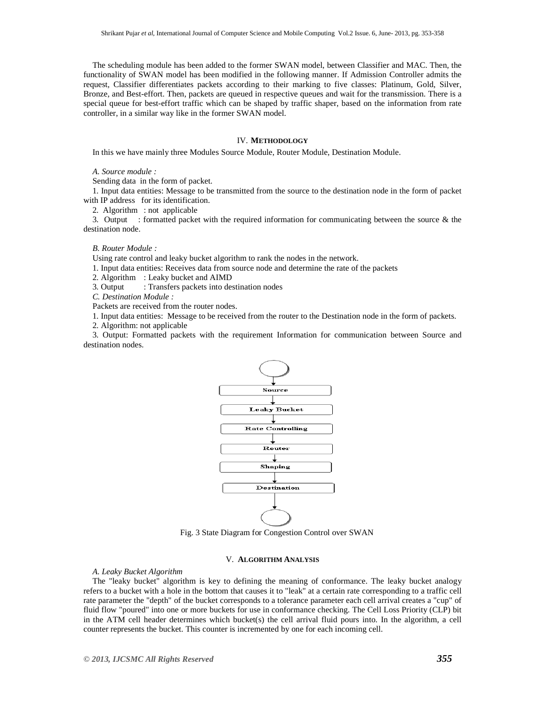The scheduling module has been added to the former SWAN model, between Classifier and MAC. Then, the functionality of SWAN model has been modified in the following manner. If Admission Controller admits the request, Classifier differentiates packets according to their marking to five classes: Platinum, Gold, Silver, Bronze, and Best-effort. Then, packets are queued in respective queues and wait for the transmission. There is a special queue for best-effort traffic which can be shaped by traffic shaper, based on the information from rate controller, in a similar way like in the former SWAN model.

#### IV. **METHODOLOGY**

In this we have mainly three Modules Source Module, Router Module, Destination Module.

*A. Source module :* 

Sending data in the form of packet.

1. Input data entities: Message to be transmitted from the source to the destination node in the form of packet with IP address for its identification.

2. Algorithm : not applicable

3. Output : formatted packet with the required information for communicating between the source  $\&$  the destination node.

*B. Router Module :* 

Using rate control and leaky bucket algorithm to rank the nodes in the network.

1. Input data entities: Receives data from source node and determine the rate of the packets

2. Algorithm : Leaky bucket and AIMD

3. Output : Transfers packets into destination nodes

*C. Destination Module :* 

Packets are received from the router nodes.

1. Input data entities: Message to be received from the router to the Destination node in the form of packets.

2. Algorithm: not applicable

3. Output: Formatted packets with the requirement Information for communication between Source and destination nodes.



Fig. 3 State Diagram for Congestion Control over SWAN

#### V. **ALGORITHM ANALYSIS**

#### *A. Leaky Bucket Algorithm*

The "leaky bucket" algorithm is key to defining the meaning of conformance. The leaky bucket analogy refers to a bucket with a hole in the bottom that causes it to "leak" at a certain rate corresponding to a traffic cell rate parameter the "depth" of the bucket corresponds to a tolerance parameter each cell arrival creates a "cup" of fluid flow "poured" into one or more buckets for use in conformance checking. The Cell Loss Priority (CLP) bit in the ATM cell header determines which bucket(s) the cell arrival fluid pours into. In the algorithm, a cell counter represents the bucket. This counter is incremented by one for each incoming cell.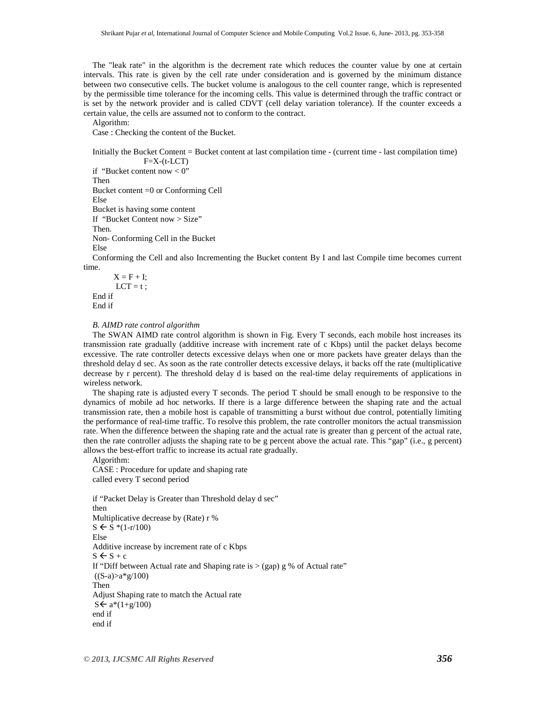The "leak rate" in the algorithm is the decrement rate which reduces the counter value by one at certain intervals. This rate is given by the cell rate under consideration and is governed by the minimum distance between two consecutive cells. The bucket volume is analogous to the cell counter range, which is represented by the permissible time tolerance for the incoming cells. This value is determined through the traffic contract or is set by the network provider and is called CDVT (cell delay variation tolerance). If the counter exceeds a certain value, the cells are assumed not to conform to the contract.

Algorithm:

Case : Checking the content of the Bucket.

Initially the Bucket Content = Bucket content at last compilation time - (current time - last compilation time)  $F=X-(t-LCT)$ 

if "Bucket content now  $< 0$ " Then Bucket content =0 or Conforming Cell Else Bucket is having some content If "Bucket Content now > Size" Then. Non- Conforming Cell in the Bucket

Else

Conforming the Cell and also Incrementing the Bucket content By I and last Compile time becomes current time.

 $X = F + I$ :  $LCT = t$ : End if End if

*B. AIMD rate control algorithm* 

The SWAN AIMD rate control algorithm is shown in Fig. Every T seconds, each mobile host increases its transmission rate gradually (additive increase with increment rate of c Kbps) until the packet delays become excessive. The rate controller detects excessive delays when one or more packets have greater delays than the threshold delay d sec. As soon as the rate controller detects excessive delays, it backs off the rate (multiplicative decrease by r percent). The threshold delay d is based on the real-time delay requirements of applications in wireless network.

The shaping rate is adjusted every T seconds. The period T should be small enough to be responsive to the dynamics of mobile ad hoc networks. If there is a large difference between the shaping rate and the actual transmission rate, then a mobile host is capable of transmitting a burst without due control, potentially limiting the performance of real-time traffic. To resolve this problem, the rate controller monitors the actual transmission rate. When the difference between the shaping rate and the actual rate is greater than g percent of the actual rate, then the rate controller adjusts the shaping rate to be g percent above the actual rate. This "gap" (i.e., g percent) allows the best-effort traffic to increase its actual rate gradually.

Algorithm: CASE : Procedure for update and shaping rate called every T second period

if "Packet Delay is Greater than Threshold delay d sec" then Multiplicative decrease by (Rate) r %  $S \leftarrow S * (1-r/100)$ Else Additive increase by increment rate of c Kbps  $S \leftarrow S + c$ If "Diff between Actual rate and Shaping rate is > (gap) g % of Actual rate"  $((S-a) > a * g/100)$ Then Adjust Shaping rate to match the Actual rate  $S \leftarrow a*(1+g/100)$ end if end if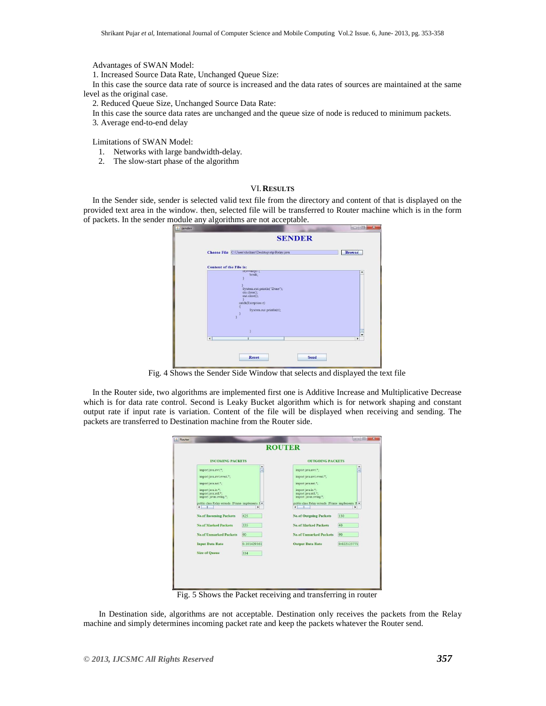Advantages of SWAN Model:

1. Increased Source Data Rate, Unchanged Queue Size:

In this case the source data rate of source is increased and the data rates of sources are maintained at the same level as the original case.

2. Reduced Queue Size, Unchanged Source Data Rate:

In this case the source data rates are unchanged and the queue size of node is reduced to minimum packets.

3. Average end-to-end delay

Limitations of SWAN Model:

- 1. Networks with large bandwidth-delay.
- 2. The slow-start phase of the algorithm

#### VI. **RESULTS**

In the Sender side, sender is selected valid text file from the directory and content of that is displayed on the provided text area in the window. then, selected file will be transferred to Router machine which is in the form of packets. In the sender module any algorithms are not acceptable.

|                | <b>SENDER</b>                                                                                                                        |                       |
|----------------|--------------------------------------------------------------------------------------------------------------------------------------|-----------------------|
|                | Choose File C:\Users\shrikant\Desktop\stp\Relay.java                                                                                 | <b>Browse</b>         |
|                | <b>Content of the File is:</b>                                                                                                       |                       |
|                | $t!(t=0)$ {<br>break;<br>System.out.println("Done");<br>ois.close();<br>out.close();<br>catch(Exception e)<br>System.out.println(e); |                       |
| $\blacksquare$ | m                                                                                                                                    | $\blacktriangleright$ |

Fig. 4 Shows the Sender Side Window that selects and displayed the text file

In the Router side, two algorithms are implemented first one is Additive Increase and Multiplicative Decrease which is for data rate control. Second is Leaky Bucket algorithm which is for network shaping and constant output rate if input rate is variation. Content of the file will be displayed when receiving and sending. The packets are transferred to Destination machine from the Router side.

|                                                                                                                                                                                                                                                                                                  |                           | <b>ROUTER</b>                                                                                                                                                                                                                                                                      |                          |
|--------------------------------------------------------------------------------------------------------------------------------------------------------------------------------------------------------------------------------------------------------------------------------------------------|---------------------------|------------------------------------------------------------------------------------------------------------------------------------------------------------------------------------------------------------------------------------------------------------------------------------|--------------------------|
| <b>INCOMING PACKETS</b>                                                                                                                                                                                                                                                                          |                           | <b>OUTGOING PACKETS</b>                                                                                                                                                                                                                                                            |                          |
| import java.awt.*;<br>import java.awt.event.*;<br>import java.net.*;<br>import java.io.*;<br>import java.util.*;<br>import javax.swing.";<br>public class Relay extends JFrame implements 1 v<br>$\left  \cdot \right $<br>$-$ n<br><b>No.of Incoming Packets</b><br><b>No.of Marked Packets</b> | ×<br>-<br>٠<br>425<br>335 | import java.awt.*;<br>import java.awt.event.*;<br>import java.net.*;<br>import java.io.*;<br>import java util.";<br>import javax.swing.";<br>public class Relay extends JFrame implements R =<br>$\left\  \cdot \right\ $<br><b>No.of Outgoing Packets</b><br>No.of Marked Packets | ∸<br>Ξ<br>Þ<br>130<br>40 |
| <b>No.of Unmarked Packets</b>                                                                                                                                                                                                                                                                    | 90                        | No.of Unmarked Packets                                                                                                                                                                                                                                                             | 90                       |
| <b>Input Data Rate</b><br><b>Size of Queue</b>                                                                                                                                                                                                                                                   | 0.101429361<br>334        | <b>Output Data Rate</b>                                                                                                                                                                                                                                                            | 0.022123771              |
|                                                                                                                                                                                                                                                                                                  |                           |                                                                                                                                                                                                                                                                                    |                          |

Fig. 5 Shows the Packet receiving and transferring in router

 In Destination side, algorithms are not acceptable. Destination only receives the packets from the Relay machine and simply determines incoming packet rate and keep the packets whatever the Router send.